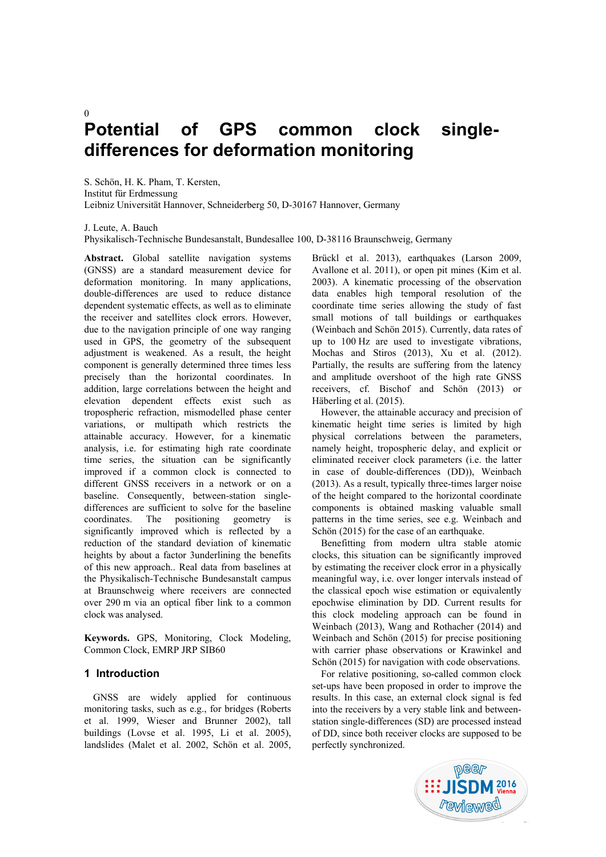# **Potential of GPS common clock singledifferences for deformation monitoring**

S. Schön, H. K. Pham, T. Kersten, Institut für Erdmessung Leibniz Universität Hannover, Schneiderberg 50, D-30167 Hannover, Germany

J. Leute, A. Bauch

 $\Omega$ 

Physikalisch-Technische Bundesanstalt, Bundesallee 100, D-38116 Braunschweig, Germany

**Abstract.** Global satellite navigation systems (GNSS) are a standard measurement device for deformation monitoring. In many applications, double-differences are used to reduce distance dependent systematic effects, as well as to eliminate the receiver and satellites clock errors. However, due to the navigation principle of one way ranging used in GPS, the geometry of the subsequent adjustment is weakened. As a result, the height component is generally determined three times less precisely than the horizontal coordinates. In addition, large correlations between the height and elevation dependent effects exist such as tropospheric refraction, mismodelled phase center variations, or multipath which restricts the attainable accuracy. However, for a kinematic analysis, i.e. for estimating high rate coordinate time series, the situation can be significantly improved if a common clock is connected to different GNSS receivers in a network or on a baseline. Consequently, between-station singledifferences are sufficient to solve for the baseline coordinates. The positioning geometry is significantly improved which is reflected by a reduction of the standard deviation of kinematic heights by about a factor 3underlining the benefits of this new approach.. Real data from baselines at the Physikalisch-Technische Bundesanstalt campus at Braunschweig where receivers are connected over 290 m via an optical fiber link to a common clock was analysed.

**Keywords.** GPS, Monitoring, Clock Modeling, Common Clock, EMRP JRP SIB60

# **1 Introduction**

GNSS are widely applied for continuous monitoring tasks, such as e.g., for bridges (Roberts et al. 1999, Wieser and Brunner 2002), tall buildings (Lovse et al. 1995, Li et al. 2005), landslides (Malet et al. 2002, Schön et al. 2005,

Brückl et al. 2013), earthquakes (Larson 2009, Avallone et al. 2011), or open pit mines (Kim et al. 2003). A kinematic processing of the observation data enables high temporal resolution of the coordinate time series allowing the study of fast small motions of tall buildings or earthquakes (Weinbach and Schön 2015). Currently, data rates of up to 100 Hz are used to investigate vibrations, Mochas and Stiros (2013), Xu et al. (2012). Partially, the results are suffering from the latency and amplitude overshoot of the high rate GNSS receivers, cf. Bischof and Schön (2013) or Häberling et al. (2015).

However, the attainable accuracy and precision of kinematic height time series is limited by high physical correlations between the parameters, namely height, tropospheric delay, and explicit or eliminated receiver clock parameters (i.e. the latter in case of double-differences (DD)), Weinbach (2013). As a result, typically three-times larger noise of the height compared to the horizontal coordinate components is obtained masking valuable small patterns in the time series, see e.g. Weinbach and Schön (2015) for the case of an earthquake.

Benefitting from modern ultra stable atomic clocks, this situation can be significantly improved by estimating the receiver clock error in a physically meaningful way, i.e. over longer intervals instead of the classical epoch wise estimation or equivalently epochwise elimination by DD. Current results for this clock modeling approach can be found in Weinbach (2013), Wang and Rothacher (2014) and Weinbach and Schön (2015) for precise positioning with carrier phase observations or Krawinkel and Schön (2015) for navigation with code observations.

For relative positioning, so-called common clock set-ups have been proposed in order to improve the results. In this case, an external clock signal is fed into the receivers by a very stable link and betweenstation single-differences (SD) are processed instead of DD, since both receiver clocks are supposed to be perfectly synchronized.

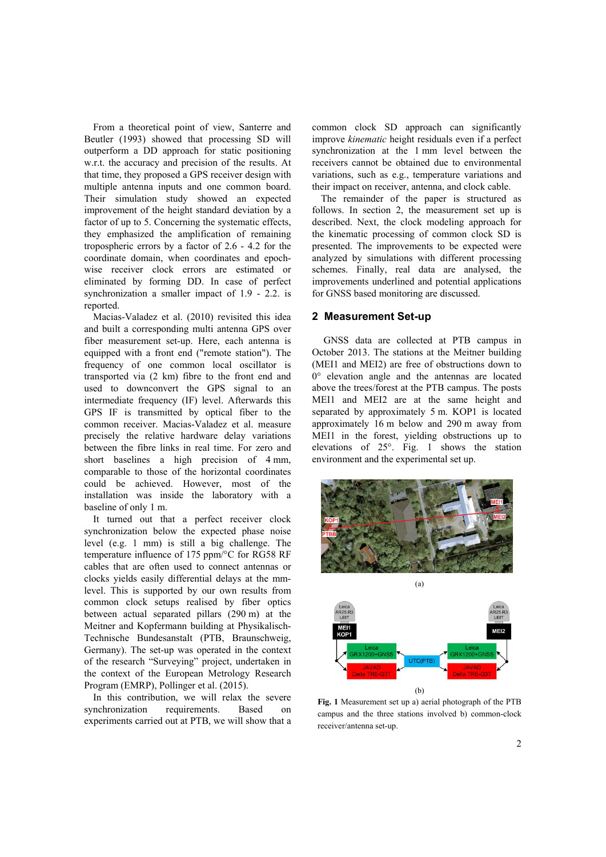From a theoretical point of view, Santerre and Beutler (1993) showed that processing SD will outperform a DD approach for static positioning w.r.t. the accuracy and precision of the results. At that time, they proposed a GPS receiver design with multiple antenna inputs and one common board. Their simulation study showed an expected improvement of the height standard deviation by a factor of up to 5. Concerning the systematic effects, they emphasized the amplification of remaining tropospheric errors by a factor of 2.6 - 4.2 for the coordinate domain, when coordinates and epochwise receiver clock errors are estimated or eliminated by forming DD. In case of perfect synchronization a smaller impact of 1.9 - 2.2. is reported.

Macias-Valadez et al. (2010) revisited this idea and built a corresponding multi antenna GPS over fiber measurement set-up. Here, each antenna is equipped with a front end ("remote station"). The frequency of one common local oscillator is transported via (2 km) fibre to the front end and used to downconvert the GPS signal to an intermediate frequency (IF) level. Afterwards this GPS IF is transmitted by optical fiber to the common receiver. Macias-Valadez et al. measure precisely the relative hardware delay variations between the fibre links in real time. For zero and short baselines a high precision of 4 mm, comparable to those of the horizontal coordinates could be achieved. However, most of the installation was inside the laboratory with a baseline of only 1 m.

It turned out that a perfect receiver clock synchronization below the expected phase noise level (e.g. 1 mm) is still a big challenge. The temperature influence of 175 ppm/°C for RG58 RF cables that are often used to connect antennas or clocks yields easily differential delays at the mmlevel. This is supported by our own results from common clock setups realised by fiber optics between actual separated pillars (290 m) at the Meitner and Kopfermann building at Physikalisch-Technische Bundesanstalt (PTB, Braunschweig, Germany). The set-up was operated in the context of the research "Surveying" project, undertaken in the context of the European Metrology Research Program (EMRP), Pollinger et al. (2015).

In this contribution, we will relax the severe synchronization requirements. Based on experiments carried out at PTB, we will show that a common clock SD approach can significantly improve *kinematic* height residuals even if a perfect synchronization at the 1 mm level between the receivers cannot be obtained due to environmental variations, such as e.g., temperature variations and their impact on receiver, antenna, and clock cable.

The remainder of the paper is structured as follows. In section 2, the measurement set up is described. Next, the clock modeling approach for the kinematic processing of common clock SD is presented. The improvements to be expected were analyzed by simulations with different processing schemes. Finally, real data are analysed, the improvements underlined and potential applications for GNSS based monitoring are discussed.

## **2 Measurement Set-up**

 GNSS data are collected at PTB campus in October 2013. The stations at the Meitner building (MEI1 and MEI2) are free of obstructions down to 0° elevation angle and the antennas are located above the trees/forest at the PTB campus. The posts MEI1 and MEI2 are at the same height and separated by approximately 5 m. KOP1 is located approximately 16 m below and 290 m away from MEI1 in the forest, yielding obstructions up to elevations of 25°. Fig. 1 shows the station environment and the experimental set up.



**Fig. 1** Measurement set up a) aerial photograph of the PTB campus and the three stations involved b) common-clock receiver/antenna set-up.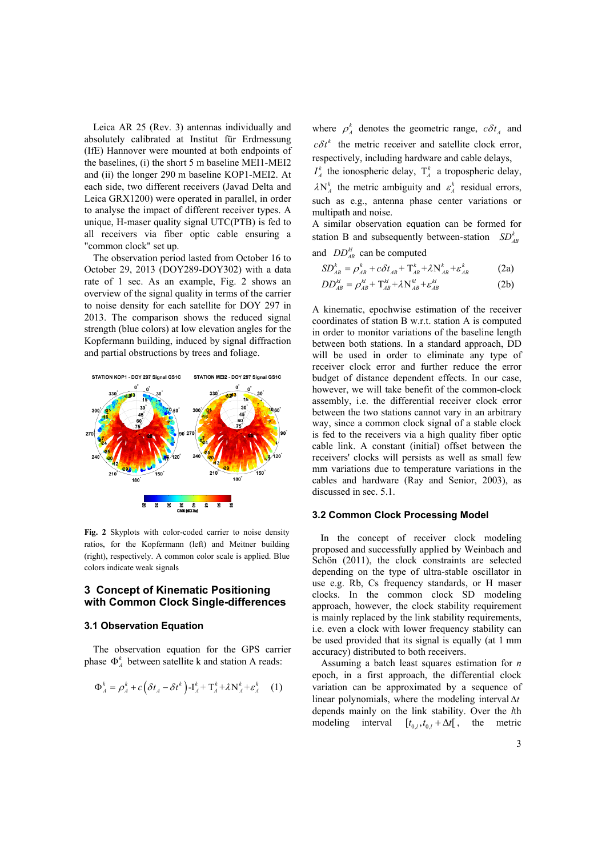Leica AR 25 (Rev. 3) antennas individually and absolutely calibrated at Institut für Erdmessung (IfE) Hannover were mounted at both endpoints of the baselines, (i) the short 5 m baseline MEI1-MEI2 and (ii) the longer 290 m baseline KOP1-MEI2. At each side, two different receivers (Javad Delta and Leica GRX1200) were operated in parallel, in order to analyse the impact of different receiver types. A unique, H-maser quality signal UTC(PTB) is fed to all receivers via fiber optic cable ensuring a "common clock" set up.

The observation period lasted from October 16 to October 29, 2013 (DOY289-DOY302) with a data rate of 1 sec. As an example, Fig. 2 shows an overview of the signal quality in terms of the carrier to noise density for each satellite for DOY 297 in 2013. The comparison shows the reduced signal strength (blue colors) at low elevation angles for the Kopfermann building, induced by signal diffraction and partial obstructions by trees and foliage.



**Fig. 2** Skyplots with color-coded carrier to noise density ratios, for the Kopfermann (left) and Meitner building (right), respectively. A common color scale is applied. Blue colors indicate weak signals

## **3 Concept of Kinematic Positioning with Common Clock Single-differences**

## **3.1 Observation Equation**

The observation equation for the GPS carrier phase  $\Phi_A^k$  between satellite k and station A reads:

$$
\Phi_A^k = \rho_A^k + c \left( \delta t_A - \delta t^k \right) - \mathbf{I}_A^k + \mathbf{T}_A^k + \lambda \mathbf{N}_A^k + \varepsilon_A^k \tag{1}
$$

where  $\rho_A^k$  denotes the geometric range,  $c \delta t_A$  and  $c \delta t^k$  the metric receiver and satellite clock error, respectively, including hardware and cable delays,

 $I_A^k$  the ionospheric delay,  $T_A^k$  a tropospheric delay,  $\lambda N_A^k$  the metric ambiguity and  $\varepsilon_A^k$  residual errors, such as e.g., antenna phase center variations or multipath and noise.

A similar observation equation can be formed for station B and subsequently between-station  $SD_{AB}^k$ and  $DD_{AB}^{kl}$  can be computed

$$
SD_{AB}^k = \rho_{AB}^k + c\delta t_{AB} + T_{AB}^k + \lambda N_{AB}^k + \varepsilon_{AB}^k
$$
 (2a)

$$
DD_{AB}^{kl} = \rho_{AB}^{kl} + T_{AB}^{kl} + \lambda N_{AB}^{kl} + \varepsilon_{AB}^{kl}
$$
 (2b)

A kinematic, epochwise estimation of the receiver coordinates of station B w.r.t. station A is computed in order to monitor variations of the baseline length between both stations. In a standard approach, DD will be used in order to eliminate any type of receiver clock error and further reduce the error budget of distance dependent effects. In our case, however, we will take benefit of the common-clock assembly, i.e. the differential receiver clock error between the two stations cannot vary in an arbitrary way, since a common clock signal of a stable clock is fed to the receivers via a high quality fiber optic cable link. A constant (initial) offset between the receivers' clocks will persists as well as small few mm variations due to temperature variations in the cables and hardware (Ray and Senior, 2003), as discussed in sec. 5.1.

### **3.2 Common Clock Processing Model**

In the concept of receiver clock modeling proposed and successfully applied by Weinbach and Schön (2011), the clock constraints are selected depending on the type of ultra-stable oscillator in use e.g. Rb, Cs frequency standards, or H maser clocks. In the common clock SD modeling approach, however, the clock stability requirement is mainly replaced by the link stability requirements, i.e. even a clock with lower frequency stability can be used provided that its signal is equally (at 1 mm accuracy) distributed to both receivers.

Assuming a batch least squares estimation for *n* epoch, in a first approach, the differential clock variation can be approximated by a sequence of linear polynomials, where the modeling interval  $\Delta t$ depends mainly on the link stability. Over the *l*th modeling interval  $[t_{0,l}, t_{0,l} + \Delta t]$ , the metric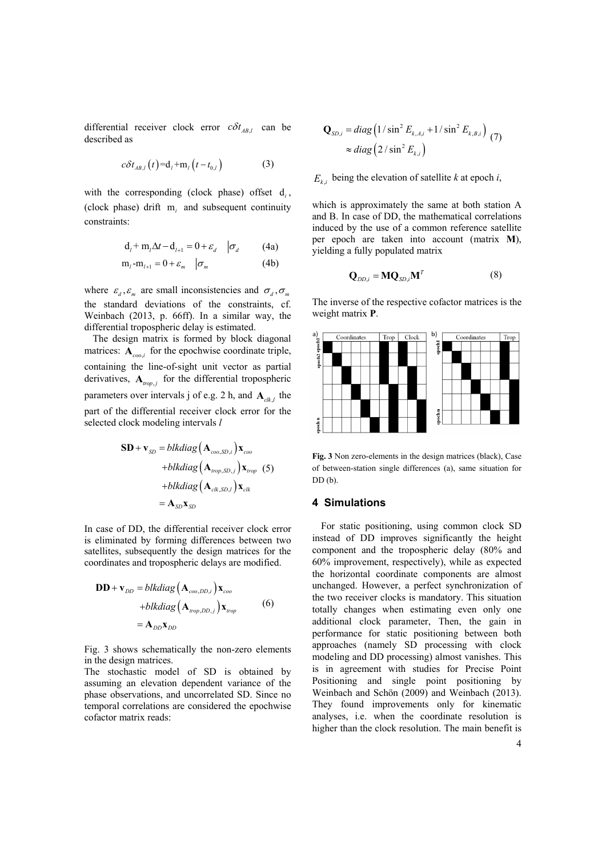differential receiver clock error  $c \delta t_{AB,l}$  can be described as

$$
c\delta t_{AB,l}(t) = \mathbf{d}_l + \mathbf{m}_l(t - t_{0,l})
$$
 (3)

with the corresponding (clock phase) offset d<sub>i</sub>, (clock phase) drift m*i* and subsequent continuity constraints:

$$
\mathbf{d}_l + \mathbf{m}_l \Delta t - \mathbf{d}_{l+1} = 0 + \varepsilon_d \quad |\sigma_d \quad (4a)
$$

$$
\mathbf{m}_l - \mathbf{m}_{l+1} = 0 + \varepsilon_m \quad \boxed{\sigma_m} \tag{4b}
$$

where  $\varepsilon_d$ ,  $\varepsilon_m$  are small inconsistencies and  $\sigma_d$ ,  $\sigma_m$ the standard deviations of the constraints, cf. Weinbach (2013, p. 66ff). In a similar way, the differential tropospheric delay is estimated.

The design matrix is formed by block diagonal matrices:  $\mathbf{A}_{\text{ceo}}$  for the epochwise coordinate triple, containing the line-of-sight unit vector as partial derivatives,  $A_{trop, i}$  for the differential tropospheric parameters over intervals j of e.g. 2 h, and  $A_{\alpha k}$ , the part of the differential receiver clock error for the selected clock modeling intervals *l*

$$
\mathbf{SD} + \mathbf{v}_{SD} = blkdiag\left(\mathbf{A}_{coo, SD, i}\right) \mathbf{x}_{coo}
$$
  
+blkdiag $\left(\mathbf{A}_{rop, SD, j}\right) \mathbf{x}_{trop}$  (5)  
+blkdiag $\left(\mathbf{A}_{ck, SD, l}\right) \mathbf{x}_{ck}$   
=  $\mathbf{A}_{SD} \mathbf{x}_{SD}$ 

In case of DD, the differential receiver clock error is eliminated by forming differences between two satellites, subsequently the design matrices for the coordinates and tropospheric delays are modified.

$$
\mathbf{DD} + \mathbf{v}_{DD} = blkdiag(\mathbf{A}_{coo,DD,i})\mathbf{x}_{coo}
$$
  
+blkdiag(\mathbf{A}\_{trop,DD,j})\mathbf{x}\_{trop} (6)  
= \mathbf{A}\_{DD}\mathbf{x}\_{DD}

Fig. 3 shows schematically the non-zero elements in the design matrices.

The stochastic model of SD is obtained by assuming an elevation dependent variance of the phase observations, and uncorrelated SD. Since no temporal correlations are considered the epochwise cofactor matrix reads:

$$
\mathbf{Q}_{SD,i} = diag\left(1/\sin^2 E_{k,A,i} + 1/\sin^2 E_{k,B,i}\right) \tag{7}
$$

$$
\approx diag\left(2/\sin^2 E_{k,i}\right)
$$

 $E_{ki}$  being the elevation of satellite *k* at epoch *i*,

which is approximately the same at both station A and B. In case of DD, the mathematical correlations induced by the use of a common reference satellite per epoch are taken into account (matrix **M**), yielding a fully populated matrix

$$
\mathbf{Q}_{DD,i} = \mathbf{MQ}_{SD,i} \mathbf{M}^T
$$
 (8)

The inverse of the respective cofactor matrices is the weight matrix **P**.



**Fig. 3** Non zero-elements in the design matrices (black), Case of between-station single differences (a), same situation for  $DD(b)$ .

#### **4 Simulations**

For static positioning, using common clock SD instead of DD improves significantly the height component and the tropospheric delay (80% and 60% improvement, respectively), while as expected the horizontal coordinate components are almost unchanged. However, a perfect synchronization of the two receiver clocks is mandatory. This situation totally changes when estimating even only one additional clock parameter, Then, the gain in performance for static positioning between both approaches (namely SD processing with clock modeling and DD processing) almost vanishes. This is in agreement with studies for Precise Point Positioning and single point positioning by Weinbach and Schön (2009) and Weinbach (2013). They found improvements only for kinematic analyses, i.e. when the coordinate resolution is higher than the clock resolution. The main benefit is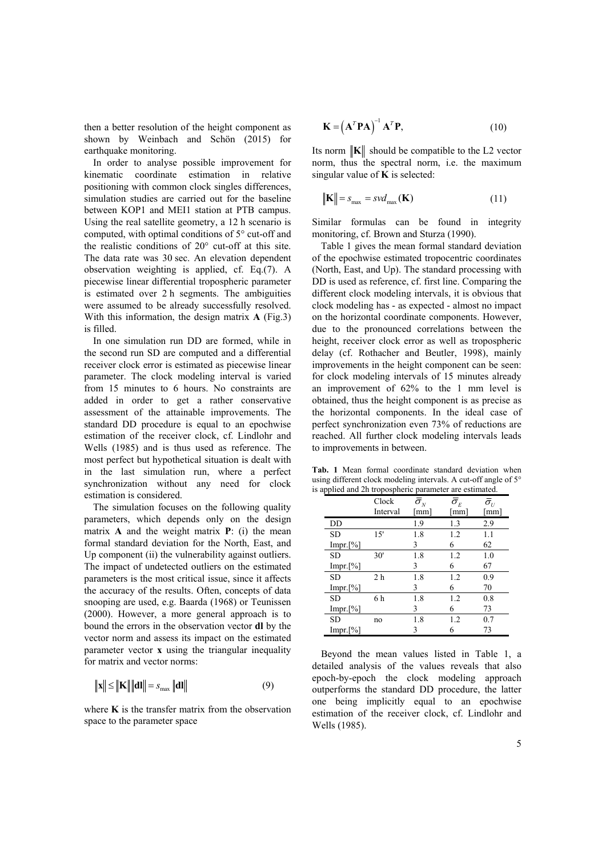then a better resolution of the height component as shown by Weinbach and Schön (2015) for earthquake monitoring.

In order to analyse possible improvement for kinematic coordinate estimation in relative positioning with common clock singles differences, simulation studies are carried out for the baseline between KOP1 and MEI1 station at PTB campus. Using the real satellite geometry, a 12 h scenario is computed, with optimal conditions of 5° cut-off and the realistic conditions of 20° cut-off at this site. The data rate was 30 sec. An elevation dependent observation weighting is applied, cf. Eq.(7). A piecewise linear differential tropospheric parameter is estimated over 2 h segments. The ambiguities were assumed to be already successfully resolved. With this information, the design matrix **A** (Fig.3) is filled.

In one simulation run DD are formed, while in the second run SD are computed and a differential receiver clock error is estimated as piecewise linear parameter. The clock modeling interval is varied from 15 minutes to 6 hours. No constraints are added in order to get a rather conservative assessment of the attainable improvements. The standard DD procedure is equal to an epochwise estimation of the receiver clock, cf. Lindlohr and Wells (1985) and is thus used as reference. The most perfect but hypothetical situation is dealt with in the last simulation run, where a perfect synchronization without any need for clock estimation is considered.

The simulation focuses on the following quality parameters, which depends only on the design matrix **A** and the weight matrix **P**: (i) the mean formal standard deviation for the North, East, and Up component (ii) the vulnerability against outliers. The impact of undetected outliers on the estimated parameters is the most critical issue, since it affects the accuracy of the results. Often, concepts of data snooping are used, e.g. Baarda (1968) or Teunissen (2000). However, a more general approach is to bound the errors in the observation vector **dl** by the vector norm and assess its impact on the estimated parameter vector **x** using the triangular inequality for matrix and vector norms:

$$
\|\mathbf{x}\| \le \|\mathbf{K}\| \|\mathbf{d}\mathbf{l}\| = s_{\max} \|\mathbf{d}\mathbf{l}\| \tag{9}
$$

where  $\bf{K}$  is the transfer matrix from the observation space to the parameter space

$$
\mathbf{K} = \left(\mathbf{A}^T \mathbf{P} \mathbf{A}\right)^{-1} \mathbf{A}^T \mathbf{P},\tag{10}
$$

Its norm  $\|\mathbf{K}\|$  should be compatible to the L2 vector norm, thus the spectral norm, i.e. the maximum singular value of **K** is selected:

$$
\|\mathbf{K}\| = s_{\text{max}} = s \nu d_{\text{max}}(\mathbf{K})
$$
\n(11)

Similar formulas can be found in integrity monitoring, cf. Brown and Sturza (1990).

Table 1 gives the mean formal standard deviation of the epochwise estimated tropocentric coordinates (North, East, and Up). The standard processing with DD is used as reference, cf. first line. Comparing the different clock modeling intervals, it is obvious that clock modeling has - as expected - almost no impact on the horizontal coordinate components. However, due to the pronounced correlations between the height, receiver clock error as well as tropospheric delay (cf. Rothacher and Beutler, 1998), mainly improvements in the height component can be seen: for clock modeling intervals of 15 minutes already an improvement of 62% to the 1 mm level is obtained, thus the height component is as precise as the horizontal components. In the ideal case of perfect synchronization even 73% of reductions are reached. All further clock modeling intervals leads to improvements in between.

**Tab. 1** Mean formal coordinate standard deviation when using different clock modeling intervals. A cut-off angle of 5° is applied and 2h tropospheric parameter are estimated.

|             | Clock          | $\bar{\sigma_{\scriptscriptstyle N}}$ | $\bar{\sigma}_{\scriptscriptstyle E}$ | $\bar{\sigma_{\scriptscriptstyle U}}$ |
|-------------|----------------|---------------------------------------|---------------------------------------|---------------------------------------|
|             | Interval       | [mm]                                  | [mm]                                  | [mm]                                  |
| DD          |                | 1.9                                   | 1.3                                   | 2.9                                   |
| <b>SD</b>   | 15'            | 1.8                                   | 1.2                                   | 1.1                                   |
| $Impr.[\%]$ |                | 3                                     | 6                                     | 62                                    |
| SD          | 30'            | 1.8                                   | 1.2                                   | 1.0                                   |
| $Impr.[\%]$ |                | 3                                     | 6                                     | 67                                    |
| <b>SD</b>   | 2 <sub>h</sub> | 1.8                                   | 1.2                                   | 0.9                                   |
| $Impr.[\%]$ |                | 3                                     | 6                                     | 70                                    |
| <b>SD</b>   | 6 h            | 1.8                                   | 1.2                                   | 0.8                                   |
| $Impr.[\%]$ |                | 3                                     | 6                                     | 73                                    |
| SD          | no             | 1.8                                   | 1.2                                   | 0.7                                   |
| $Impr.[\%]$ |                | 3                                     | 6                                     | 73                                    |

Beyond the mean values listed in Table 1, a detailed analysis of the values reveals that also epoch-by-epoch the clock modeling approach outperforms the standard DD procedure, the latter one being implicitly equal to an epochwise estimation of the receiver clock, cf. Lindlohr and Wells (1985).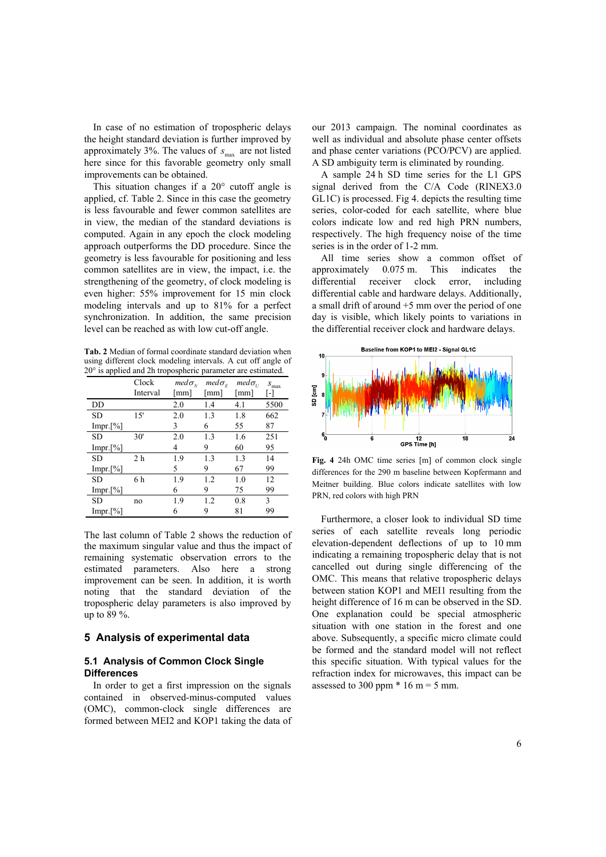In case of no estimation of tropospheric delays the height standard deviation is further improved by approximately 3%. The values of  $s_{\text{max}}$  are not listed here since for this favorable geometry only small improvements can be obtained.

This situation changes if a 20° cutoff angle is applied, cf. Table 2. Since in this case the geometry is less favourable and fewer common satellites are in view, the median of the standard deviations is computed. Again in any epoch the clock modeling approach outperforms the DD procedure. Since the geometry is less favourable for positioning and less common satellites are in view, the impact, i.e. the strengthening of the geometry, of clock modeling is even higher: 55% improvement for 15 min clock modeling intervals and up to 81% for a perfect synchronization. In addition, the same precision level can be reached as with low cut-off angle.

**Tab. 2** Median of formal coordinate standard deviation when using different clock modeling intervals. A cut off angle of 20° is applied and 2h tropospheric parameter are estimated.

|             | Clock          | $med\sigma_{N}$ | $med\sigma_{\kappa}$ | $med\sigma_{\scriptscriptstyle U}$ | $S_{\rm max}$ |
|-------------|----------------|-----------------|----------------------|------------------------------------|---------------|
|             | Interval       | $\lceil$ mm]    | mm                   | [mm]                               |               |
| DD          |                | 2.0             | 1.4                  | 4.1                                | 5500          |
| <b>SD</b>   | 15'            | 2.0             | 13                   | 1.8                                | 662           |
| $Impr.[\%]$ |                | 3               | 6                    | 55                                 | 87            |
| <b>SD</b>   | 30'            | 2.0             | 1.3                  | 1.6                                | 251           |
| $Impr.[\%]$ |                | 4               | 9                    | 60                                 | 95            |
| <b>SD</b>   | 2 <sub>h</sub> | 1.9             | 1.3                  | 1.3                                | 14            |
| $Impr.[\%]$ |                | 5               | 9                    | 67                                 | 99            |
| <b>SD</b>   | 6 h            | 1.9             | 1.2                  | 1.0                                | 12            |
| Impr.[%]    |                | 6               | 9                    | 75                                 | 99            |
| <b>SD</b>   | no             | 1.9             | 1.2                  | 0.8                                | 3             |
| $Impr.[\%]$ |                | 6               | 9                    | 81                                 | 99            |

The last column of Table 2 shows the reduction of the maximum singular value and thus the impact of remaining systematic observation errors to the estimated parameters. Also here a strong improvement can be seen. In addition, it is worth noting that the standard deviation of the tropospheric delay parameters is also improved by up to 89 %.

# **5 Analysis of experimental data**

## **5.1 Analysis of Common Clock Single Differences**

In order to get a first impression on the signals contained in observed-minus-computed values (OMC), common-clock single differences are formed between MEI2 and KOP1 taking the data of our 2013 campaign. The nominal coordinates as well as individual and absolute phase center offsets and phase center variations (PCO/PCV) are applied. A SD ambiguity term is eliminated by rounding.

A sample 24 h SD time series for the L1 GPS signal derived from the C/A Code (RINEX3.0 GL1C) is processed. Fig 4. depicts the resulting time series, color-coded for each satellite, where blue colors indicate low and red high PRN numbers, respectively. The high frequency noise of the time series is in the order of 1-2 mm.

All time series show a common offset of approximately 0.075 m. This indicates the differential receiver clock error, including differential cable and hardware delays. Additionally, a small drift of around +5 mm over the period of one day is visible, which likely points to variations in the differential receiver clock and hardware delays.



**Fig. 4** 24h OMC time series [m] of common clock single differences for the 290 m baseline between Kopfermann and Meitner building. Blue colors indicate satellites with low PRN, red colors with high PRN

Furthermore, a closer look to individual SD time series of each satellite reveals long periodic elevation-dependent deflections of up to 10 mm indicating a remaining tropospheric delay that is not cancelled out during single differencing of the OMC. This means that relative tropospheric delays between station KOP1 and MEI1 resulting from the height difference of 16 m can be observed in the SD. One explanation could be special atmospheric situation with one station in the forest and one above. Subsequently, a specific micro climate could be formed and the standard model will not reflect this specific situation. With typical values for the refraction index for microwaves, this impact can be assessed to 300 ppm  $*$  16 m = 5 mm.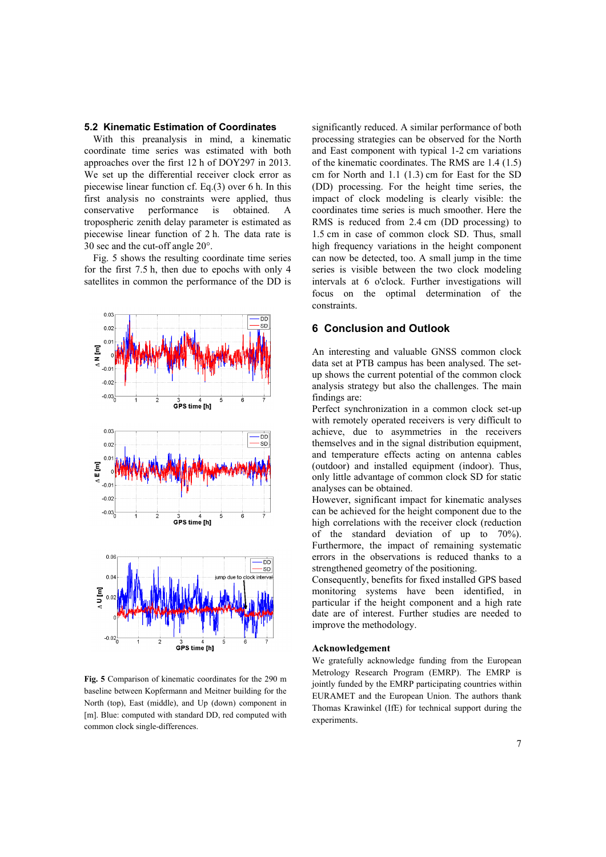## **5.2 Kinematic Estimation of Coordinates**

With this preanalysis in mind, a kinematic coordinate time series was estimated with both approaches over the first 12 h of DOY297 in 2013. We set up the differential receiver clock error as piecewise linear function cf. Eq.(3) over 6 h. In this first analysis no constraints were applied, thus conservative performance is obtained. A tropospheric zenith delay parameter is estimated as piecewise linear function of 2 h. The data rate is 30 sec and the cut-off angle 20°.

Fig. 5 shows the resulting coordinate time series for the first 7.5 h, then due to epochs with only 4 satellites in common the performance of the DD is



**Fig. 5** Comparison of kinematic coordinates for the 290 m baseline between Kopfermann and Meitner building for the North (top), East (middle), and Up (down) component in [m]. Blue: computed with standard DD, red computed with common clock single-differences.

significantly reduced. A similar performance of both processing strategies can be observed for the North and East component with typical 1-2 cm variations of the kinematic coordinates. The RMS are 1.4 (1.5) cm for North and 1.1 (1.3) cm for East for the SD (DD) processing. For the height time series, the impact of clock modeling is clearly visible: the coordinates time series is much smoother. Here the RMS is reduced from 2.4 cm (DD processing) to 1.5 cm in case of common clock SD. Thus, small high frequency variations in the height component can now be detected, too. A small jump in the time series is visible between the two clock modeling intervals at 6 o'clock. Further investigations will focus on the optimal determination of the constraints.

## **6 Conclusion and Outlook**

An interesting and valuable GNSS common clock data set at PTB campus has been analysed. The setup shows the current potential of the common clock analysis strategy but also the challenges. The main findings are:

Perfect synchronization in a common clock set-up with remotely operated receivers is very difficult to achieve, due to asymmetries in the receivers themselves and in the signal distribution equipment, and temperature effects acting on antenna cables (outdoor) and installed equipment (indoor). Thus, only little advantage of common clock SD for static analyses can be obtained.

However, significant impact for kinematic analyses can be achieved for the height component due to the high correlations with the receiver clock (reduction of the standard deviation of up to 70%). Furthermore, the impact of remaining systematic errors in the observations is reduced thanks to a strengthened geometry of the positioning.

Consequently, benefits for fixed installed GPS based monitoring systems have been identified, in particular if the height component and a high rate date are of interest. Further studies are needed to improve the methodology.

### **Acknowledgement**

We gratefully acknowledge funding from the European Metrology Research Program (EMRP). The EMRP is jointly funded by the EMRP participating countries within EURAMET and the European Union. The authors thank Thomas Krawinkel (IfE) for technical support during the experiments.